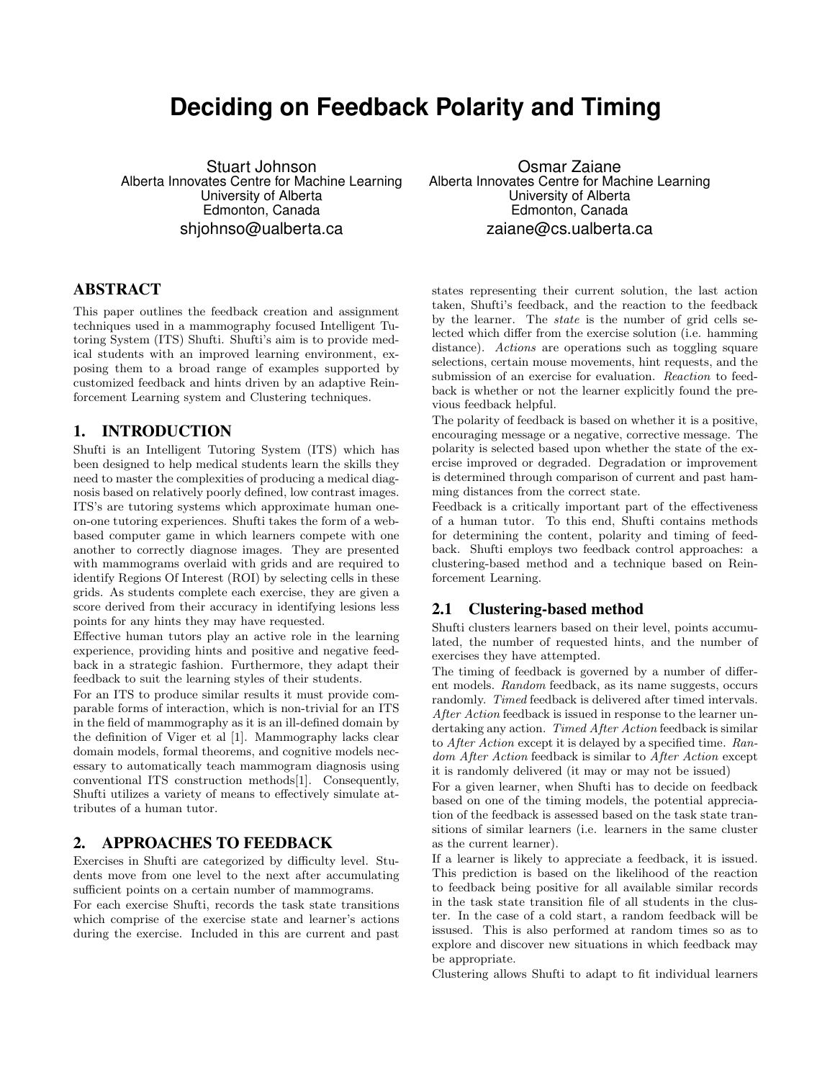# **Deciding on Feedback Polarity and Timing**

Stuart Johnson Alberta Innovates Centre for Machine Learning University of Alberta Edmonton, Canada shjohnso@ualberta.ca

## ABSTRACT

This paper outlines the feedback creation and assignment techniques used in a mammography focused Intelligent Tutoring System (ITS) Shufti. Shufti's aim is to provide medical students with an improved learning environment, exposing them to a broad range of examples supported by customized feedback and hints driven by an adaptive Reinforcement Learning system and Clustering techniques.

#### 1. INTRODUCTION

Shufti is an Intelligent Tutoring System (ITS) which has been designed to help medical students learn the skills they need to master the complexities of producing a medical diagnosis based on relatively poorly defined, low contrast images. ITS's are tutoring systems which approximate human oneon-one tutoring experiences. Shufti takes the form of a webbased computer game in which learners compete with one another to correctly diagnose images. They are presented with mammograms overlaid with grids and are required to identify Regions Of Interest (ROI) by selecting cells in these grids. As students complete each exercise, they are given a score derived from their accuracy in identifying lesions less points for any hints they may have requested.

Effective human tutors play an active role in the learning experience, providing hints and positive and negative feedback in a strategic fashion. Furthermore, they adapt their feedback to suit the learning styles of their students.

For an ITS to produce similar results it must provide comparable forms of interaction, which is non-trivial for an ITS in the field of mammography as it is an ill-defined domain by the definition of Viger et al [1]. Mammography lacks clear domain models, formal theorems, and cognitive models necessary to automatically teach mammogram diagnosis using conventional ITS construction methods[1]. Consequently, Shufti utilizes a variety of means to effectively simulate attributes of a human tutor.

## 2. APPROACHES TO FEEDBACK

Exercises in Shufti are categorized by difficulty level. Students move from one level to the next after accumulating sufficient points on a certain number of mammograms.

For each exercise Shufti, records the task state transitions which comprise of the exercise state and learner's actions during the exercise. Included in this are current and past

Osmar Zaiane Alberta Innovates Centre for Machine Learning University of Alberta Edmonton, Canada zaiane@cs.ualberta.ca

states representing their current solution, the last action taken, Shufti's feedback, and the reaction to the feedback by the learner. The state is the number of grid cells selected which differ from the exercise solution (i.e. hamming distance). Actions are operations such as toggling square selections, certain mouse movements, hint requests, and the submission of an exercise for evaluation. Reaction to feedback is whether or not the learner explicitly found the previous feedback helpful.

The polarity of feedback is based on whether it is a positive, encouraging message or a negative, corrective message. The polarity is selected based upon whether the state of the exercise improved or degraded. Degradation or improvement is determined through comparison of current and past hamming distances from the correct state.

Feedback is a critically important part of the effectiveness of a human tutor. To this end, Shufti contains methods for determining the content, polarity and timing of feedback. Shufti employs two feedback control approaches: a clustering-based method and a technique based on Reinforcement Learning.

#### 2.1 Clustering-based method

Shufti clusters learners based on their level, points accumulated, the number of requested hints, and the number of exercises they have attempted.

The timing of feedback is governed by a number of different models. Random feedback, as its name suggests, occurs randomly. Timed feedback is delivered after timed intervals. After Action feedback is issued in response to the learner undertaking any action. Timed After Action feedback is similar to After Action except it is delayed by a specified time. Random After Action feedback is similar to After Action except it is randomly delivered (it may or may not be issued)

For a given learner, when Shufti has to decide on feedback based on one of the timing models, the potential appreciation of the feedback is assessed based on the task state transitions of similar learners (i.e. learners in the same cluster as the current learner).

If a learner is likely to appreciate a feedback, it is issued. This prediction is based on the likelihood of the reaction to feedback being positive for all available similar records in the task state transition file of all students in the cluster. In the case of a cold start, a random feedback will be issused. This is also performed at random times so as to explore and discover new situations in which feedback may be appropriate.

Clustering allows Shufti to adapt to fit individual learners